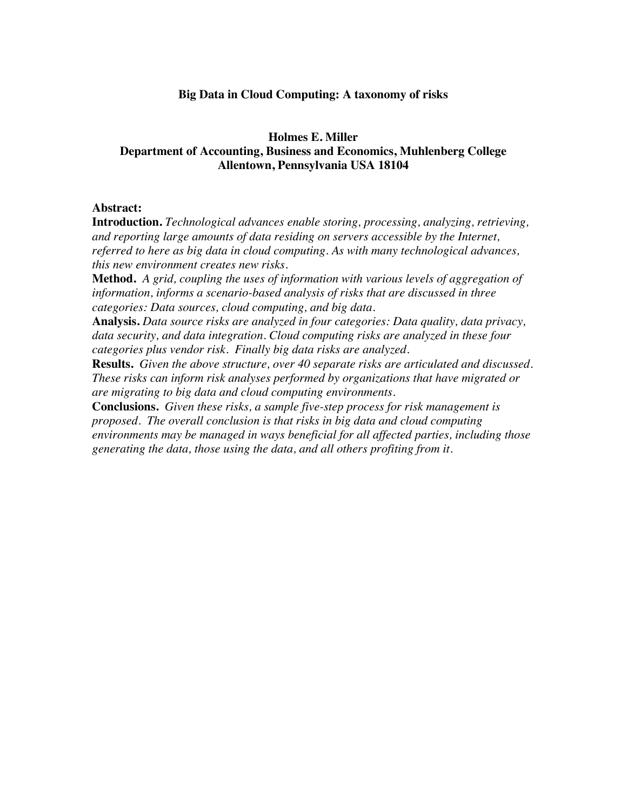# **Big Data in Cloud Computing: A taxonomy of risks**

# **Holmes E. Miller Department of Accounting, Business and Economics, Muhlenberg College Allentown, Pennsylvania USA 18104**

# **Abstract:**

**Introduction.** *Technological advances enable storing, processing, analyzing, retrieving, and reporting large amounts of data residing on servers accessible by the Internet, referred to here as big data in cloud computing. As with many technological advances, this new environment creates new risks.*

**Method.** *A grid, coupling the uses of information with various levels of aggregation of information, informs a scenario-based analysis of risks that are discussed in three categories: Data sources, cloud computing, and big data.*

**Analysis.** *Data source risks are analyzed in four categories: Data quality, data privacy, data security, and data integration. Cloud computing risks are analyzed in these four categories plus vendor risk. Finally big data risks are analyzed.*

**Results.** *Given the above structure, over 40 separate risks are articulated and discussed. These risks can inform risk analyses performed by organizations that have migrated or are migrating to big data and cloud computing environments.*

**Conclusions.** *Given these risks, a sample five-step process for risk management is proposed. The overall conclusion is that risks in big data and cloud computing environments may be managed in ways beneficial for all affected parties, including those generating the data, those using the data, and all others profiting from it.*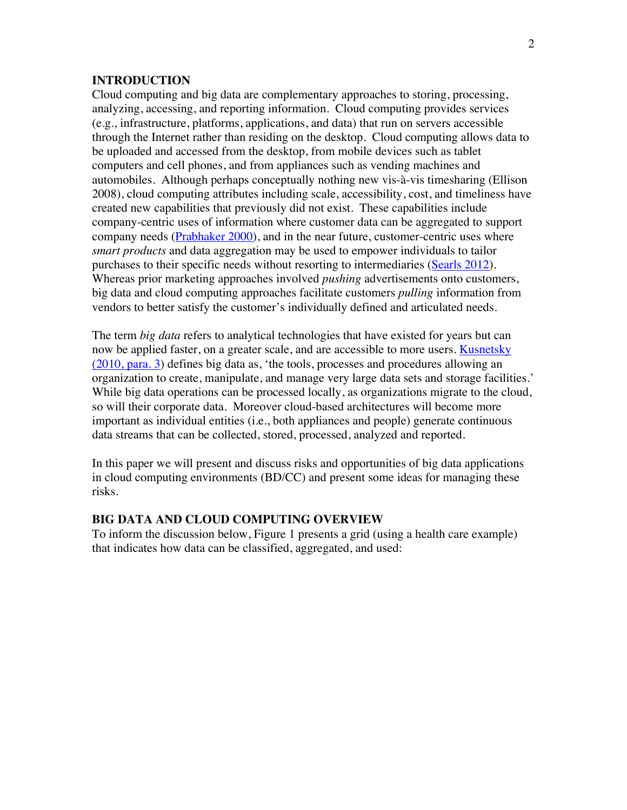### **INTRODUCTION**

Cloud computing and big data are complementary approaches to storing, processing, analyzing, accessing, and reporting information. Cloud computing provides services (e.g., infrastructure, platforms, applications, and data) that run on servers accessible through the Internet rather than residing on the desktop. Cloud computing allows data to be uploaded and accessed from the desktop, from mobile devices such as tablet computers and cell phones, and from appliances such as vending machines and automobiles. Although perhaps conceptually nothing new vis-à-vis timesharing (Ellison 2008), cloud computing attributes including scale, accessibility, cost, and timeliness have created new capabilities that previously did not exist. These capabilities include company-centric uses of information where customer data can be aggregated to support company needs (Prabhaker 2000), and in the near future, customer-centric uses where *smart products* and data aggregation may be used to empower individuals to tailor purchases to their specific needs without resorting to intermediaries (Searls 2012). Whereas prior marketing approaches involved *pushing* advertisements onto customers, big data and cloud computing approaches facilitate customers *pulling* information from vendors to better satisfy the customer's individually defined and articulated needs.

The term *big data* refers to analytical technologies that have existed for years but can now be applied faster, on a greater scale, and are accessible to more users. Kusnetsky (2010, para. 3) defines big data as, 'the tools, processes and procedures allowing an organization to create, manipulate, and manage very large data sets and storage facilities.' While big data operations can be processed locally, as organizations migrate to the cloud, so will their corporate data. Moreover cloud-based architectures will become more important as individual entities (i.e., both appliances and people) generate continuous data streams that can be collected, stored, processed, analyzed and reported.

In this paper we will present and discuss risks and opportunities of big data applications in cloud computing environments (BD/CC) and present some ideas for managing these risks.

# **BIG DATA AND CLOUD COMPUTING OVERVIEW**

To inform the discussion below, Figure 1 presents a grid (using a health care example) that indicates how data can be classified, aggregated, and used: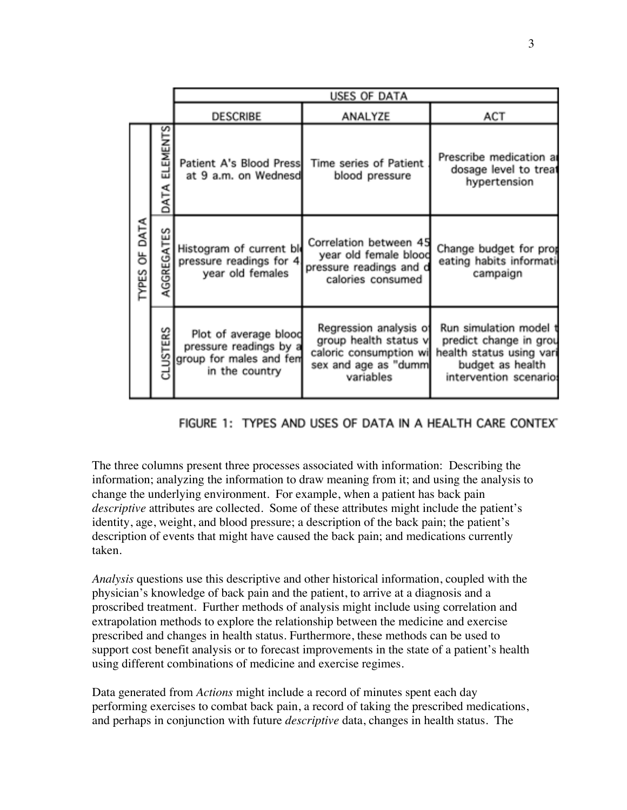|               |                  | <b>USES OF DATA</b>                                                                          |                                                                                                                |                                                                                                                            |
|---------------|------------------|----------------------------------------------------------------------------------------------|----------------------------------------------------------------------------------------------------------------|----------------------------------------------------------------------------------------------------------------------------|
|               |                  | <b>DESCRIBE</b>                                                                              | ANALYZE                                                                                                        | ACT                                                                                                                        |
| TYPES OF DATA | ELEMENTS<br>DATA | at 9 a.m. on Wednesd                                                                         | Patient A's Blood Press Time series of Patient<br>blood pressure                                               | Prescribe medication a<br>dosage level to treat<br>hypertension                                                            |
|               | AGGREGATES       | Histogram of current bl<br>pressure readings for 4<br>year old females                       | Correlation between 45<br>year old female blood<br>pressure readings and d<br>calories consumed                | Change budget for prop<br>eating habits informati<br>campaign                                                              |
|               | CLUSTERS         | Plot of average blood<br>pressure readings by a<br>group for males and fem<br>in the country | Regression analysis of<br>group health status v<br>caloric consumption wi<br>sex and age as "dumm<br>variables | Run simulation model t<br>predict change in grou<br>health status using vari<br>budget as health<br>intervention scenario: |

# FIGURE 1: TYPES AND USES OF DATA IN A HEALTH CARE CONTEXT

The three columns present three processes associated with information: Describing the information; analyzing the information to draw meaning from it; and using the analysis to change the underlying environment. For example, when a patient has back pain *descriptive* attributes are collected. Some of these attributes might include the patient's identity, age, weight, and blood pressure; a description of the back pain; the patient's description of events that might have caused the back pain; and medications currently taken.

*Analysis* questions use this descriptive and other historical information, coupled with the physician's knowledge of back pain and the patient, to arrive at a diagnosis and a proscribed treatment. Further methods of analysis might include using correlation and extrapolation methods to explore the relationship between the medicine and exercise prescribed and changes in health status. Furthermore, these methods can be used to support cost benefit analysis or to forecast improvements in the state of a patient's health using different combinations of medicine and exercise regimes.

Data generated from *Actions* might include a record of minutes spent each day performing exercises to combat back pain, a record of taking the prescribed medications, and perhaps in conjunction with future *descriptive* data, changes in health status. The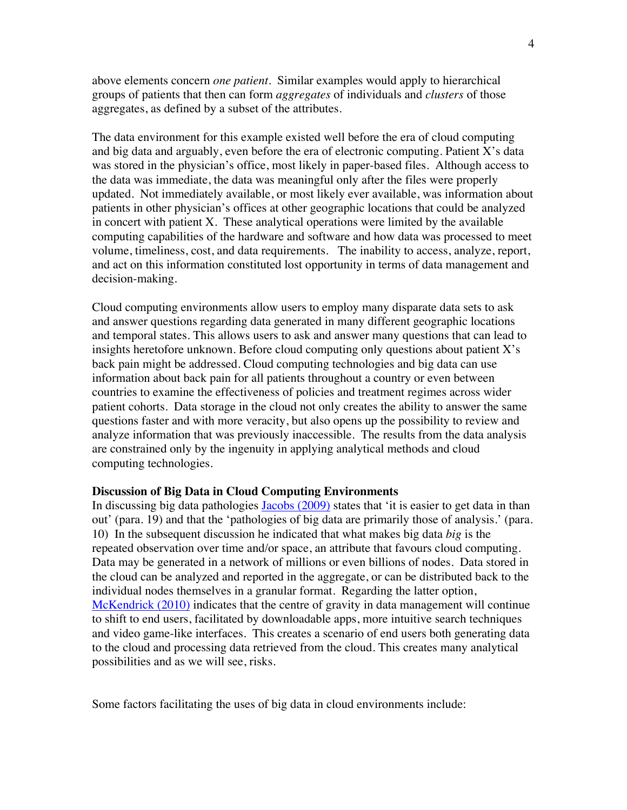above elements concern *one patient*. Similar examples would apply to hierarchical groups of patients that then can form *aggregates* of individuals and *clusters* of those aggregates, as defined by a subset of the attributes.

The data environment for this example existed well before the era of cloud computing and big data and arguably, even before the era of electronic computing. Patient X's data was stored in the physician's office, most likely in paper-based files. Although access to the data was immediate, the data was meaningful only after the files were properly updated. Not immediately available, or most likely ever available, was information about patients in other physician's offices at other geographic locations that could be analyzed in concert with patient X. These analytical operations were limited by the available computing capabilities of the hardware and software and how data was processed to meet volume, timeliness, cost, and data requirements. The inability to access, analyze, report, and act on this information constituted lost opportunity in terms of data management and decision-making.

Cloud computing environments allow users to employ many disparate data sets to ask and answer questions regarding data generated in many different geographic locations and temporal states. This allows users to ask and answer many questions that can lead to insights heretofore unknown. Before cloud computing only questions about patient X's back pain might be addressed. Cloud computing technologies and big data can use information about back pain for all patients throughout a country or even between countries to examine the effectiveness of policies and treatment regimes across wider patient cohorts. Data storage in the cloud not only creates the ability to answer the same questions faster and with more veracity, but also opens up the possibility to review and analyze information that was previously inaccessible. The results from the data analysis are constrained only by the ingenuity in applying analytical methods and cloud computing technologies.

### **Discussion of Big Data in Cloud Computing Environments**

In discussing big data pathologies Jacobs (2009) states that 'it is easier to get data in than out' (para. 19) and that the 'pathologies of big data are primarily those of analysis.' (para. 10) In the subsequent discussion he indicated that what makes big data *big* is the repeated observation over time and/or space, an attribute that favours cloud computing. Data may be generated in a network of millions or even billions of nodes. Data stored in the cloud can be analyzed and reported in the aggregate, or can be distributed back to the individual nodes themselves in a granular format. Regarding the latter option, McKendrick (2010) indicates that the centre of gravity in data management will continue to shift to end users, facilitated by downloadable apps, more intuitive search techniques and video game-like interfaces. This creates a scenario of end users both generating data to the cloud and processing data retrieved from the cloud. This creates many analytical possibilities and as we will see, risks.

Some factors facilitating the uses of big data in cloud environments include: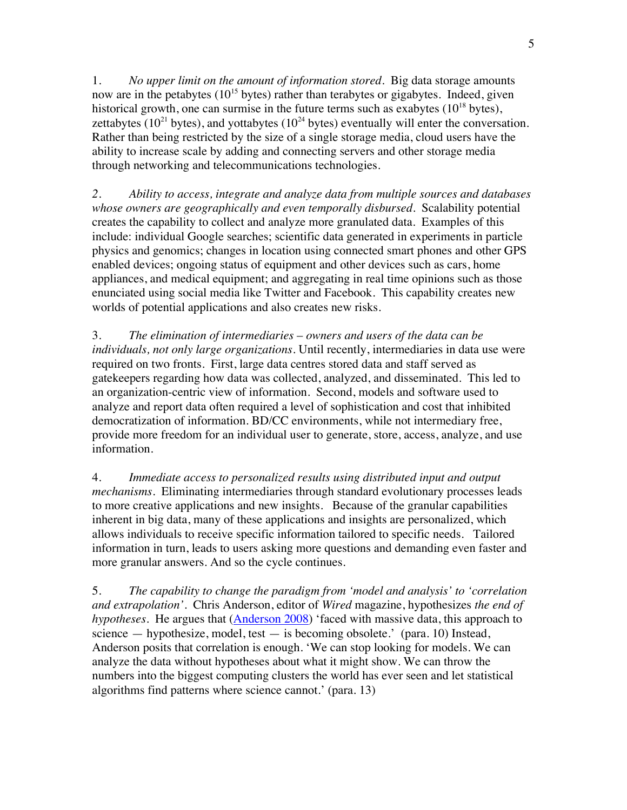1. *No upper limit on the amount of information stored*. Big data storage amounts now are in the petabytes  $(10^{15}$  bytes) rather than terabytes or gigabytes. Indeed, given historical growth, one can surmise in the future terms such as exabytes  $(10^{18}$  bytes), zettabytes ( $10^{21}$  bytes), and yottabytes ( $10^{24}$  bytes) eventually will enter the conversation. Rather than being restricted by the size of a single storage media, cloud users have the ability to increase scale by adding and connecting servers and other storage media through networking and telecommunications technologies.

*2. Ability to access, integrate and analyze data from multiple sources and databases whose owners are geographically and even temporally disbursed.* Scalability potential creates the capability to collect and analyze more granulated data. Examples of this include: individual Google searches; scientific data generated in experiments in particle physics and genomics; changes in location using connected smart phones and other GPS enabled devices; ongoing status of equipment and other devices such as cars, home appliances, and medical equipment; and aggregating in real time opinions such as those enunciated using social media like Twitter and Facebook. This capability creates new worlds of potential applications and also creates new risks.

3. *The elimination of intermediaries* – *owners and users of the data can be individuals, not only large organizations.* Until recently, intermediaries in data use were required on two fronts. First, large data centres stored data and staff served as gatekeepers regarding how data was collected, analyzed, and disseminated. This led to an organization-centric view of information. Second, models and software used to analyze and report data often required a level of sophistication and cost that inhibited democratization of information. BD/CC environments, while not intermediary free, provide more freedom for an individual user to generate, store, access, analyze, and use information.

4. *Immediate access to personalized results using distributed input and output mechanisms.* Eliminating intermediaries through standard evolutionary processes leads to more creative applications and new insights. Because of the granular capabilities inherent in big data, many of these applications and insights are personalized, which allows individuals to receive specific information tailored to specific needs. Tailored information in turn, leads to users asking more questions and demanding even faster and more granular answers. And so the cycle continues.

5. *The capability to change the paradigm from 'model and analysis' to 'correlation and extrapolation'.* Chris Anderson, editor of *Wired* magazine, hypothesizes *the end of hypotheses*. He argues that (Anderson 2008) 'faced with massive data, this approach to science — hypothesize, model, test — is becoming obsolete.' (para. 10) Instead, Anderson posits that correlation is enough. 'We can stop looking for models. We can analyze the data without hypotheses about what it might show. We can throw the numbers into the biggest computing clusters the world has ever seen and let statistical algorithms find patterns where science cannot.' (para. 13)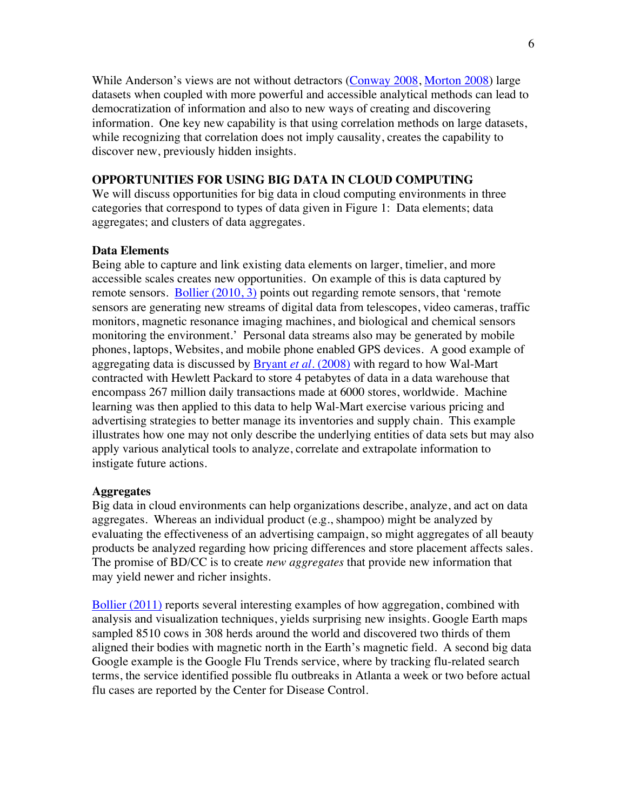While Anderson's views are not without detractors (Conway 2008, Morton 2008) large datasets when coupled with more powerful and accessible analytical methods can lead to democratization of information and also to new ways of creating and discovering information. One key new capability is that using correlation methods on large datasets, while recognizing that correlation does not imply causality, creates the capability to discover new, previously hidden insights.

### **OPPORTUNITIES FOR USING BIG DATA IN CLOUD COMPUTING**

We will discuss opportunities for big data in cloud computing environments in three categories that correspond to types of data given in Figure 1: Data elements; data aggregates; and clusters of data aggregates.

### **Data Elements**

Being able to capture and link existing data elements on larger, timelier, and more accessible scales creates new opportunities. On example of this is data captured by remote sensors. Bollier (2010, 3) points out regarding remote sensors, that 'remote sensors are generating new streams of digital data from telescopes, video cameras, traffic monitors, magnetic resonance imaging machines, and biological and chemical sensors monitoring the environment.' Personal data streams also may be generated by mobile phones, laptops, Websites, and mobile phone enabled GPS devices. A good example of aggregating data is discussed by Bryant *et al.* (2008) with regard to how Wal-Mart contracted with Hewlett Packard to store 4 petabytes of data in a data warehouse that encompass 267 million daily transactions made at 6000 stores, worldwide. Machine learning was then applied to this data to help Wal-Mart exercise various pricing and advertising strategies to better manage its inventories and supply chain. This example illustrates how one may not only describe the underlying entities of data sets but may also apply various analytical tools to analyze, correlate and extrapolate information to instigate future actions.

# **Aggregates**

Big data in cloud environments can help organizations describe, analyze, and act on data aggregates. Whereas an individual product (e.g., shampoo) might be analyzed by evaluating the effectiveness of an advertising campaign, so might aggregates of all beauty products be analyzed regarding how pricing differences and store placement affects sales. The promise of BD/CC is to create *new aggregates* that provide new information that may yield newer and richer insights.

Bollier (2011) reports several interesting examples of how aggregation, combined with analysis and visualization techniques, yields surprising new insights. Google Earth maps sampled 8510 cows in 308 herds around the world and discovered two thirds of them aligned their bodies with magnetic north in the Earth's magnetic field. A second big data Google example is the Google Flu Trends service, where by tracking flu-related search terms, the service identified possible flu outbreaks in Atlanta a week or two before actual flu cases are reported by the Center for Disease Control.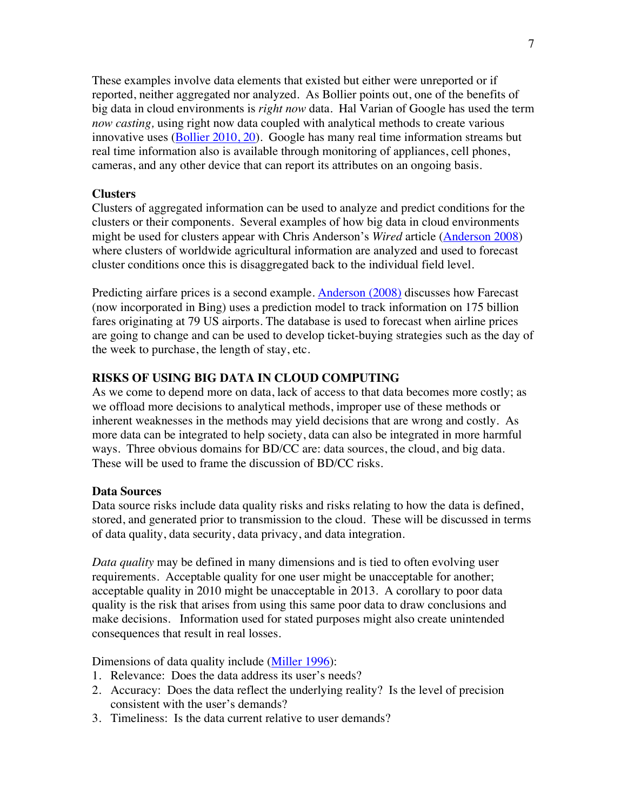These examples involve data elements that existed but either were unreported or if reported, neither aggregated nor analyzed. As Bollier points out, one of the benefits of big data in cloud environments is *right now* data. Hal Varian of Google has used the term *now casting,* using right now data coupled with analytical methods to create various innovative uses (Bollier 2010, 20). Google has many real time information streams but real time information also is available through monitoring of appliances, cell phones, cameras, and any other device that can report its attributes on an ongoing basis.

### **Clusters**

Clusters of aggregated information can be used to analyze and predict conditions for the clusters or their components. Several examples of how big data in cloud environments might be used for clusters appear with Chris Anderson's *Wired* article (Anderson 2008) where clusters of worldwide agricultural information are analyzed and used to forecast cluster conditions once this is disaggregated back to the individual field level.

Predicting airfare prices is a second example. Anderson (2008) discusses how Farecast (now incorporated in Bing) uses a prediction model to track information on 175 billion fares originating at 79 US airports. The database is used to forecast when airline prices are going to change and can be used to develop ticket-buying strategies such as the day of the week to purchase, the length of stay, etc.

# **RISKS OF USING BIG DATA IN CLOUD COMPUTING**

As we come to depend more on data, lack of access to that data becomes more costly; as we offload more decisions to analytical methods, improper use of these methods or inherent weaknesses in the methods may yield decisions that are wrong and costly. As more data can be integrated to help society, data can also be integrated in more harmful ways. Three obvious domains for BD/CC are: data sources, the cloud, and big data. These will be used to frame the discussion of BD/CC risks.

### **Data Sources**

Data source risks include data quality risks and risks relating to how the data is defined, stored, and generated prior to transmission to the cloud. These will be discussed in terms of data quality, data security, data privacy, and data integration.

*Data quality* may be defined in many dimensions and is tied to often evolving user requirements. Acceptable quality for one user might be unacceptable for another; acceptable quality in 2010 might be unacceptable in 2013. A corollary to poor data quality is the risk that arises from using this same poor data to draw conclusions and make decisions. Information used for stated purposes might also create unintended consequences that result in real losses.

Dimensions of data quality include (Miller 1996):

- 1. Relevance: Does the data address its user's needs?
- 2. Accuracy: Does the data reflect the underlying reality? Is the level of precision consistent with the user's demands?
- 3. Timeliness: Is the data current relative to user demands?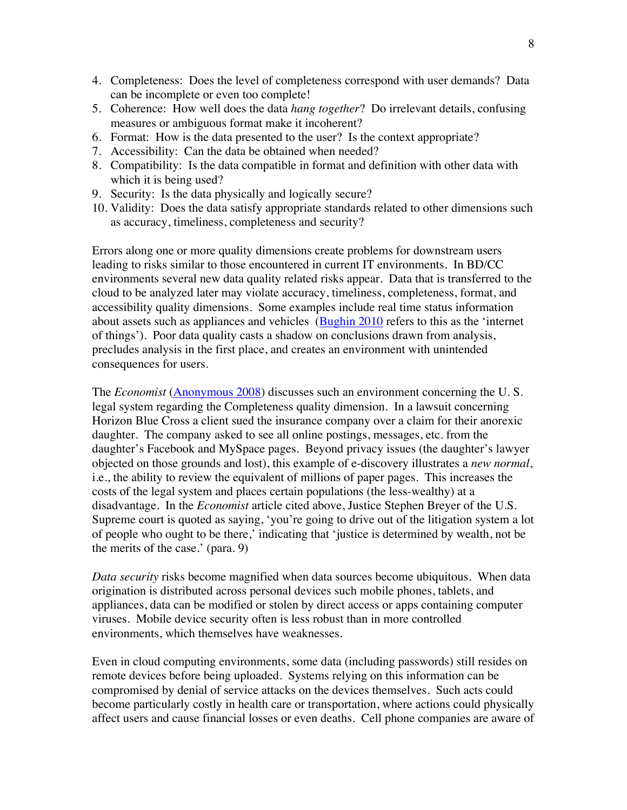- 4. Completeness: Does the level of completeness correspond with user demands? Data can be incomplete or even too complete!
- 5. Coherence: How well does the data *hang together*? Do irrelevant details, confusing measures or ambiguous format make it incoherent?
- 6. Format: How is the data presented to the user? Is the context appropriate?
- 7. Accessibility: Can the data be obtained when needed?
- 8. Compatibility: Is the data compatible in format and definition with other data with which it is being used?
- 9. Security: Is the data physically and logically secure?
- 10. Validity: Does the data satisfy appropriate standards related to other dimensions such as accuracy, timeliness, completeness and security?

Errors along one or more quality dimensions create problems for downstream users leading to risks similar to those encountered in current IT environments. In BD/CC environments several new data quality related risks appear. Data that is transferred to the cloud to be analyzed later may violate accuracy, timeliness, completeness, format, and accessibility quality dimensions. Some examples include real time status information about assets such as appliances and vehicles (Bughin 2010 refers to this as the 'internet of things'). Poor data quality casts a shadow on conclusions drawn from analysis, precludes analysis in the first place, and creates an environment with unintended consequences for users.

The *Economist* (Anonymous 2008) discusses such an environment concerning the U. S. legal system regarding the Completeness quality dimension. In a lawsuit concerning Horizon Blue Cross a client sued the insurance company over a claim for their anorexic daughter. The company asked to see all online postings, messages, etc. from the daughter's Facebook and MySpace pages. Beyond privacy issues (the daughter's lawyer objected on those grounds and lost), this example of e-discovery illustrates a *new normal*, i.e., the ability to review the equivalent of millions of paper pages. This increases the costs of the legal system and places certain populations (the less-wealthy) at a disadvantage. In the *Economist* article cited above, Justice Stephen Breyer of the U.S. Supreme court is quoted as saying, 'you're going to drive out of the litigation system a lot of people who ought to be there,' indicating that 'justice is determined by wealth, not be the merits of the case.' (para. 9)

*Data security* risks become magnified when data sources become ubiquitous. When data origination is distributed across personal devices such mobile phones, tablets, and appliances, data can be modified or stolen by direct access or apps containing computer viruses. Mobile device security often is less robust than in more controlled environments, which themselves have weaknesses.

Even in cloud computing environments, some data (including passwords) still resides on remote devices before being uploaded. Systems relying on this information can be compromised by denial of service attacks on the devices themselves. Such acts could become particularly costly in health care or transportation, where actions could physically affect users and cause financial losses or even deaths. Cell phone companies are aware of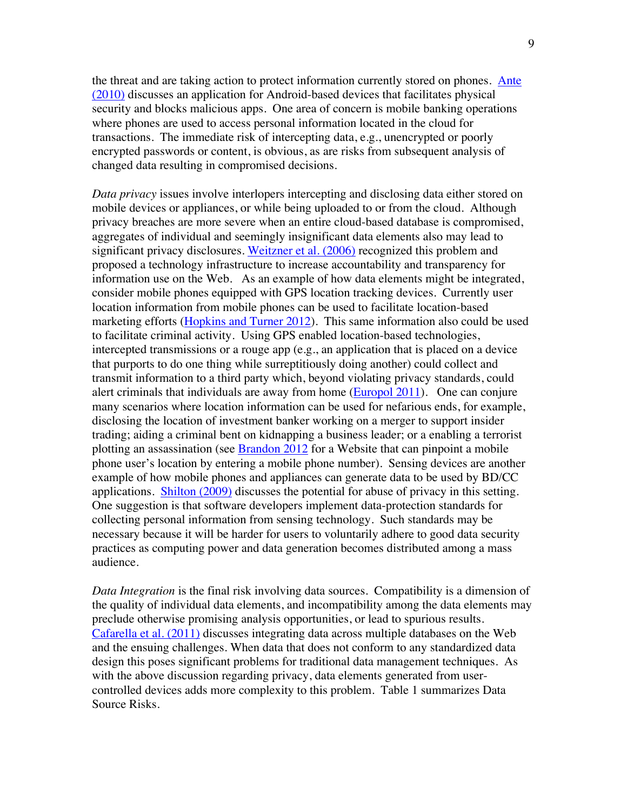the threat and are taking action to protect information currently stored on phones. Ante (2010) discusses an application for Android-based devices that facilitates physical security and blocks malicious apps. One area of concern is mobile banking operations where phones are used to access personal information located in the cloud for transactions. The immediate risk of intercepting data, e.g., unencrypted or poorly encrypted passwords or content, is obvious, as are risks from subsequent analysis of changed data resulting in compromised decisions.

*Data privacy* issues involve interlopers intercepting and disclosing data either stored on mobile devices or appliances, or while being uploaded to or from the cloud. Although privacy breaches are more severe when an entire cloud-based database is compromised, aggregates of individual and seemingly insignificant data elements also may lead to significant privacy disclosures. Weitzner et al. (2006) recognized this problem and proposed a technology infrastructure to increase accountability and transparency for information use on the Web. As an example of how data elements might be integrated, consider mobile phones equipped with GPS location tracking devices. Currently user location information from mobile phones can be used to facilitate location-based marketing efforts (Hopkins and Turner 2012). This same information also could be used to facilitate criminal activity. Using GPS enabled location-based technologies, intercepted transmissions or a rouge app (e.g., an application that is placed on a device that purports to do one thing while surreptitiously doing another) could collect and transmit information to a third party which, beyond violating privacy standards, could alert criminals that individuals are away from home (Europol 2011). One can conjure many scenarios where location information can be used for nefarious ends, for example, disclosing the location of investment banker working on a merger to support insider trading; aiding a criminal bent on kidnapping a business leader; or a enabling a terrorist plotting an assassination (see Brandon 2012 for a Website that can pinpoint a mobile phone user's location by entering a mobile phone number). Sensing devices are another example of how mobile phones and appliances can generate data to be used by BD/CC applications. Shilton (2009) discusses the potential for abuse of privacy in this setting. One suggestion is that software developers implement data-protection standards for collecting personal information from sensing technology. Such standards may be necessary because it will be harder for users to voluntarily adhere to good data security practices as computing power and data generation becomes distributed among a mass audience.

*Data Integration* is the final risk involving data sources. Compatibility is a dimension of the quality of individual data elements, and incompatibility among the data elements may preclude otherwise promising analysis opportunities, or lead to spurious results. Cafarella et al. (2011) discusses integrating data across multiple databases on the Web and the ensuing challenges. When data that does not conform to any standardized data design this poses significant problems for traditional data management techniques. As with the above discussion regarding privacy, data elements generated from usercontrolled devices adds more complexity to this problem. Table 1 summarizes Data Source Risks.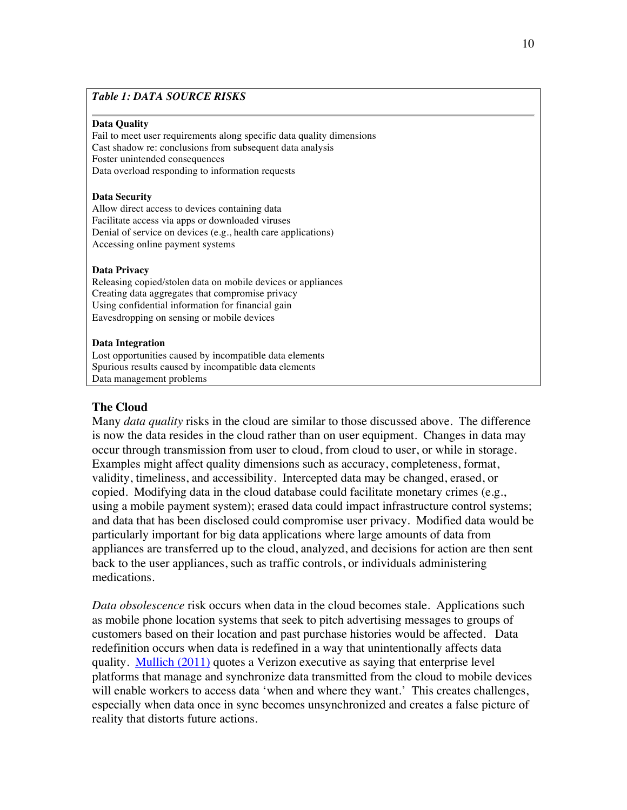# *Table 1: DATA SOURCE RISKS*

#### **Data Quality**

Fail to meet user requirements along specific data quality dimensions Cast shadow re: conclusions from subsequent data analysis Foster unintended consequences Data overload responding to information requests

#### **Data Security**

Allow direct access to devices containing data Facilitate access via apps or downloaded viruses Denial of service on devices (e.g., health care applications) Accessing online payment systems

#### **Data Privacy**

Releasing copied/stolen data on mobile devices or appliances Creating data aggregates that compromise privacy Using confidential information for financial gain Eavesdropping on sensing or mobile devices

#### **Data Integration**

Lost opportunities caused by incompatible data elements Spurious results caused by incompatible data elements Data management problems

### **The Cloud**

Many *data quality* risks in the cloud are similar to those discussed above. The difference is now the data resides in the cloud rather than on user equipment. Changes in data may occur through transmission from user to cloud, from cloud to user, or while in storage. Examples might affect quality dimensions such as accuracy, completeness, format, validity, timeliness, and accessibility. Intercepted data may be changed, erased, or copied. Modifying data in the cloud database could facilitate monetary crimes (e.g., using a mobile payment system); erased data could impact infrastructure control systems; and data that has been disclosed could compromise user privacy. Modified data would be particularly important for big data applications where large amounts of data from appliances are transferred up to the cloud, analyzed, and decisions for action are then sent back to the user appliances, such as traffic controls, or individuals administering medications.

*Data obsolescence* risk occurs when data in the cloud becomes stale. Applications such as mobile phone location systems that seek to pitch advertising messages to groups of customers based on their location and past purchase histories would be affected. Data redefinition occurs when data is redefined in a way that unintentionally affects data quality. Mullich (2011) quotes a Verizon executive as saying that enterprise level platforms that manage and synchronize data transmitted from the cloud to mobile devices will enable workers to access data 'when and where they want.' This creates challenges, especially when data once in sync becomes unsynchronized and creates a false picture of reality that distorts future actions.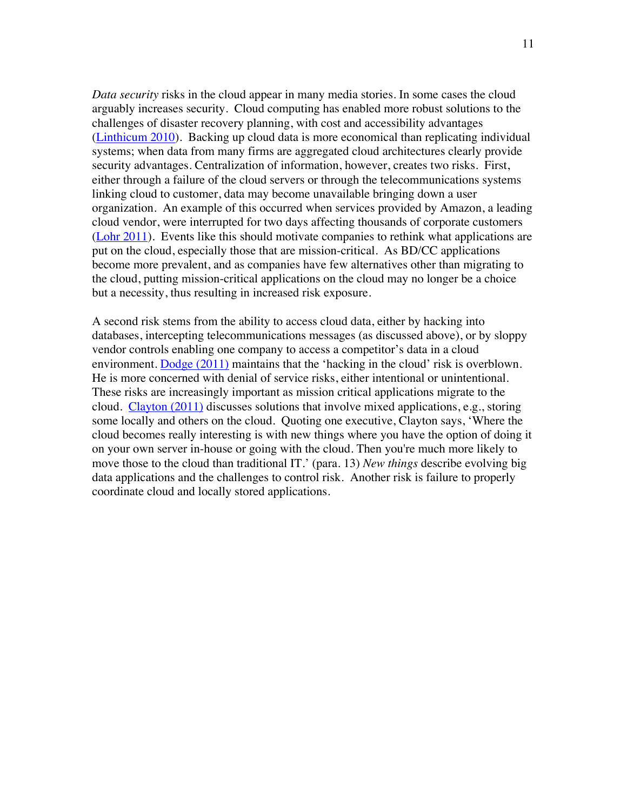*Data security* risks in the cloud appear in many media stories. In some cases the cloud arguably increases security. Cloud computing has enabled more robust solutions to the challenges of disaster recovery planning, with cost and accessibility advantages (Linthicum 2010). Backing up cloud data is more economical than replicating individual systems; when data from many firms are aggregated cloud architectures clearly provide security advantages. Centralization of information, however, creates two risks. First, either through a failure of the cloud servers or through the telecommunications systems linking cloud to customer, data may become unavailable bringing down a user organization. An example of this occurred when services provided by Amazon, a leading cloud vendor, were interrupted for two days affecting thousands of corporate customers (Lohr 2011). Events like this should motivate companies to rethink what applications are put on the cloud, especially those that are mission-critical. As BD/CC applications become more prevalent, and as companies have few alternatives other than migrating to the cloud, putting mission-critical applications on the cloud may no longer be a choice but a necessity, thus resulting in increased risk exposure.

A second risk stems from the ability to access cloud data, either by hacking into databases, intercepting telecommunications messages (as discussed above), or by sloppy vendor controls enabling one company to access a competitor's data in a cloud environment. Dodge (2011) maintains that the 'hacking in the cloud' risk is overblown. He is more concerned with denial of service risks, either intentional or unintentional. These risks are increasingly important as mission critical applications migrate to the cloud. Clayton (2011) discusses solutions that involve mixed applications, e.g., storing some locally and others on the cloud. Quoting one executive, Clayton says, 'Where the cloud becomes really interesting is with new things where you have the option of doing it on your own server in-house or going with the cloud. Then you're much more likely to move those to the cloud than traditional IT.' (para. 13) *New things* describe evolving big data applications and the challenges to control risk. Another risk is failure to properly coordinate cloud and locally stored applications.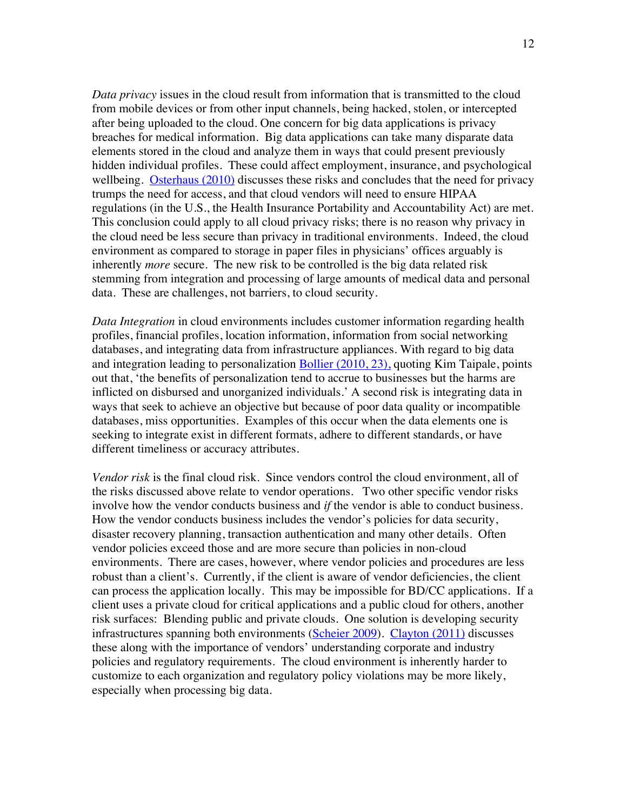*Data privacy* issues in the cloud result from information that is transmitted to the cloud from mobile devices or from other input channels, being hacked, stolen, or intercepted after being uploaded to the cloud. One concern for big data applications is privacy breaches for medical information. Big data applications can take many disparate data elements stored in the cloud and analyze them in ways that could present previously hidden individual profiles. These could affect employment, insurance, and psychological wellbeing. Osterhaus (2010) discusses these risks and concludes that the need for privacy trumps the need for access, and that cloud vendors will need to ensure HIPAA regulations (in the U.S., the Health Insurance Portability and Accountability Act) are met. This conclusion could apply to all cloud privacy risks; there is no reason why privacy in the cloud need be less secure than privacy in traditional environments. Indeed, the cloud environment as compared to storage in paper files in physicians' offices arguably is inherently *more* secure. The new risk to be controlled is the big data related risk stemming from integration and processing of large amounts of medical data and personal data. These are challenges, not barriers, to cloud security.

*Data Integration* in cloud environments includes customer information regarding health profiles, financial profiles, location information, information from social networking databases, and integrating data from infrastructure appliances. With regard to big data and integration leading to personalization Bollier (2010, 23), quoting Kim Taipale, points out that, 'the benefits of personalization tend to accrue to businesses but the harms are inflicted on disbursed and unorganized individuals.' A second risk is integrating data in ways that seek to achieve an objective but because of poor data quality or incompatible databases, miss opportunities. Examples of this occur when the data elements one is seeking to integrate exist in different formats, adhere to different standards, or have different timeliness or accuracy attributes.

*Vendor risk* is the final cloud risk. Since vendors control the cloud environment, all of the risks discussed above relate to vendor operations. Two other specific vendor risks involve how the vendor conducts business and *if* the vendor is able to conduct business. How the vendor conducts business includes the vendor's policies for data security, disaster recovery planning, transaction authentication and many other details. Often vendor policies exceed those and are more secure than policies in non-cloud environments. There are cases, however, where vendor policies and procedures are less robust than a client's. Currently, if the client is aware of vendor deficiencies, the client can process the application locally. This may be impossible for BD/CC applications. If a client uses a private cloud for critical applications and a public cloud for others, another risk surfaces: Blending public and private clouds. One solution is developing security infrastructures spanning both environments (Scheier 2009). Clayton (2011) discusses these along with the importance of vendors' understanding corporate and industry policies and regulatory requirements. The cloud environment is inherently harder to customize to each organization and regulatory policy violations may be more likely, especially when processing big data.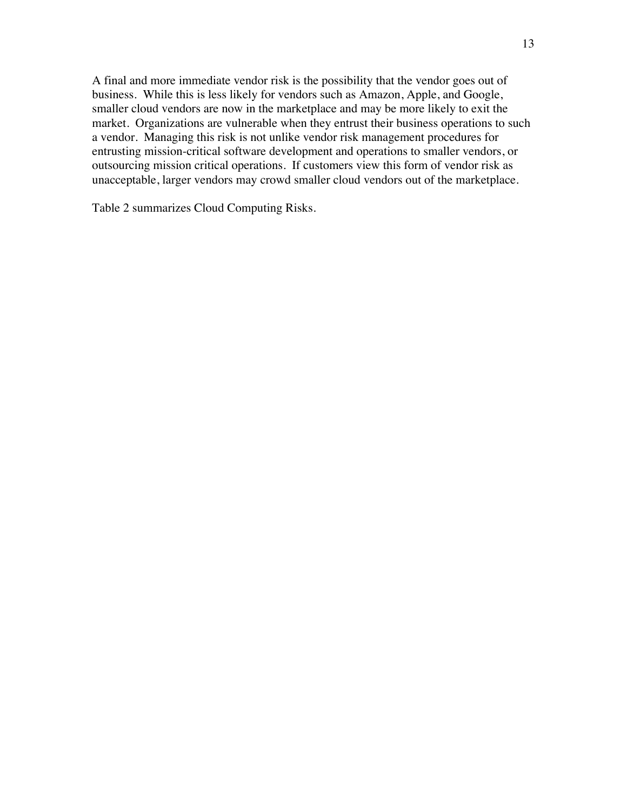A final and more immediate vendor risk is the possibility that the vendor goes out of business. While this is less likely for vendors such as Amazon, Apple, and Google, smaller cloud vendors are now in the marketplace and may be more likely to exit the market. Organizations are vulnerable when they entrust their business operations to such a vendor. Managing this risk is not unlike vendor risk management procedures for entrusting mission-critical software development and operations to smaller vendors, or outsourcing mission critical operations. If customers view this form of vendor risk as unacceptable, larger vendors may crowd smaller cloud vendors out of the marketplace.

Table 2 summarizes Cloud Computing Risks.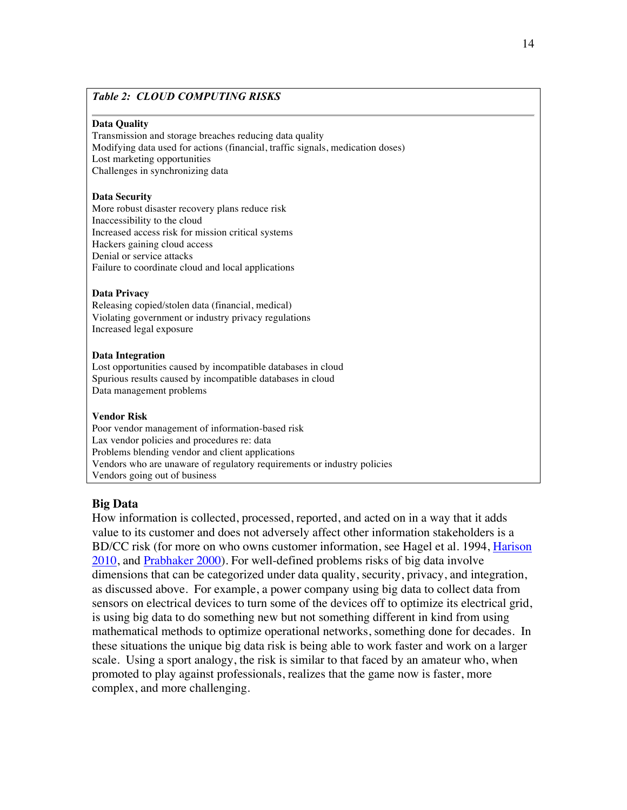# *Table 2: CLOUD COMPUTING RISKS*

#### **Data Quality**

Transmission and storage breaches reducing data quality Modifying data used for actions (financial, traffic signals, medication doses) Lost marketing opportunities Challenges in synchronizing data

#### **Data Security**

More robust disaster recovery plans reduce risk Inaccessibility to the cloud Increased access risk for mission critical systems Hackers gaining cloud access Denial or service attacks Failure to coordinate cloud and local applications

#### **Data Privacy**

Releasing copied/stolen data (financial, medical) Violating government or industry privacy regulations Increased legal exposure

#### **Data Integration**

Lost opportunities caused by incompatible databases in cloud Spurious results caused by incompatible databases in cloud Data management problems

#### **Vendor Risk**

Poor vendor management of information-based risk Lax vendor policies and procedures re: data Problems blending vendor and client applications Vendors who are unaware of regulatory requirements or industry policies Vendors going out of business

### **Big Data**

How information is collected, processed, reported, and acted on in a way that it adds value to its customer and does not adversely affect other information stakeholders is a BD/CC risk (for more on who owns customer information, see Hagel et al*.* 1994, Harison 2010, and Prabhaker 2000). For well-defined problems risks of big data involve dimensions that can be categorized under data quality, security, privacy, and integration, as discussed above. For example, a power company using big data to collect data from sensors on electrical devices to turn some of the devices off to optimize its electrical grid, is using big data to do something new but not something different in kind from using mathematical methods to optimize operational networks, something done for decades. In these situations the unique big data risk is being able to work faster and work on a larger scale. Using a sport analogy, the risk is similar to that faced by an amateur who, when promoted to play against professionals, realizes that the game now is faster, more complex, and more challenging.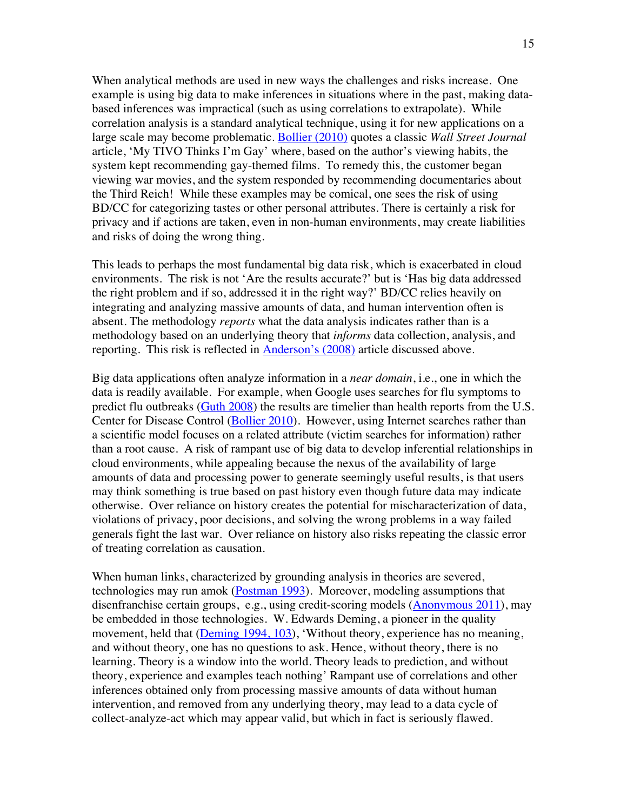When analytical methods are used in new ways the challenges and risks increase. One example is using big data to make inferences in situations where in the past, making databased inferences was impractical (such as using correlations to extrapolate). While correlation analysis is a standard analytical technique, using it for new applications on a large scale may become problematic. Bollier (2010) quotes a classic *Wall Street Journal* article, 'My TIVO Thinks I'm Gay' where, based on the author's viewing habits, the system kept recommending gay-themed films. To remedy this, the customer began viewing war movies, and the system responded by recommending documentaries about the Third Reich! While these examples may be comical, one sees the risk of using BD/CC for categorizing tastes or other personal attributes. There is certainly a risk for privacy and if actions are taken, even in non-human environments, may create liabilities and risks of doing the wrong thing.

This leads to perhaps the most fundamental big data risk, which is exacerbated in cloud environments. The risk is not 'Are the results accurate?' but is 'Has big data addressed the right problem and if so, addressed it in the right way?' BD/CC relies heavily on integrating and analyzing massive amounts of data, and human intervention often is absent. The methodology *reports* what the data analysis indicates rather than is a methodology based on an underlying theory that *informs* data collection, analysis, and reporting. This risk is reflected in Anderson's (2008) article discussed above.

Big data applications often analyze information in a *near domain*, i.e., one in which the data is readily available. For example, when Google uses searches for flu symptoms to predict flu outbreaks (Guth 2008) the results are timelier than health reports from the U.S. Center for Disease Control (Bollier 2010). However, using Internet searches rather than a scientific model focuses on a related attribute (victim searches for information) rather than a root cause. A risk of rampant use of big data to develop inferential relationships in cloud environments, while appealing because the nexus of the availability of large amounts of data and processing power to generate seemingly useful results, is that users may think something is true based on past history even though future data may indicate otherwise. Over reliance on history creates the potential for mischaracterization of data, violations of privacy, poor decisions, and solving the wrong problems in a way failed generals fight the last war. Over reliance on history also risks repeating the classic error of treating correlation as causation.

When human links, characterized by grounding analysis in theories are severed, technologies may run amok (Postman 1993). Moreover, modeling assumptions that disenfranchise certain groups, e.g., using credit-scoring models (Anonymous 2011), may be embedded in those technologies. W. Edwards Deming, a pioneer in the quality movement, held that (Deming 1994, 103), 'Without theory, experience has no meaning, and without theory, one has no questions to ask. Hence, without theory, there is no learning. Theory is a window into the world. Theory leads to prediction, and without theory, experience and examples teach nothing' Rampant use of correlations and other inferences obtained only from processing massive amounts of data without human intervention, and removed from any underlying theory, may lead to a data cycle of collect-analyze-act which may appear valid, but which in fact is seriously flawed.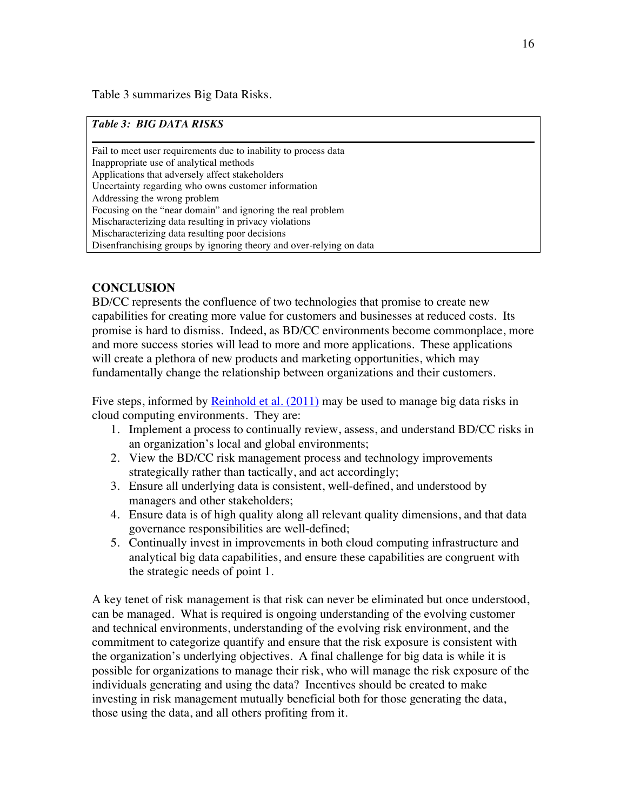Table 3 summarizes Big Data Risks.

# *Table 3: BIG DATA RISKS*

Fail to meet user requirements due to inability to process data Inappropriate use of analytical methods Applications that adversely affect stakeholders Uncertainty regarding who owns customer information Addressing the wrong problem Focusing on the "near domain" and ignoring the real problem Mischaracterizing data resulting in privacy violations Mischaracterizing data resulting poor decisions Disenfranchising groups by ignoring theory and over-relying on data

# **CONCLUSION**

BD/CC represents the confluence of two technologies that promise to create new capabilities for creating more value for customers and businesses at reduced costs. Its promise is hard to dismiss. Indeed, as BD/CC environments become commonplace, more and more success stories will lead to more and more applications. These applications will create a plethora of new products and marketing opportunities, which may fundamentally change the relationship between organizations and their customers.

Five steps, informed by Reinhold et al. (2011) may be used to manage big data risks in cloud computing environments. They are:

- 1. Implement a process to continually review, assess, and understand BD/CC risks in an organization's local and global environments;
- 2. View the BD/CC risk management process and technology improvements strategically rather than tactically, and act accordingly;
- 3. Ensure all underlying data is consistent, well-defined, and understood by managers and other stakeholders;
- 4. Ensure data is of high quality along all relevant quality dimensions, and that data governance responsibilities are well-defined;
- 5. Continually invest in improvements in both cloud computing infrastructure and analytical big data capabilities, and ensure these capabilities are congruent with the strategic needs of point 1.

A key tenet of risk management is that risk can never be eliminated but once understood, can be managed. What is required is ongoing understanding of the evolving customer and technical environments, understanding of the evolving risk environment, and the commitment to categorize quantify and ensure that the risk exposure is consistent with the organization's underlying objectives. A final challenge for big data is while it is possible for organizations to manage their risk, who will manage the risk exposure of the individuals generating and using the data? Incentives should be created to make investing in risk management mutually beneficial both for those generating the data, those using the data, and all others profiting from it.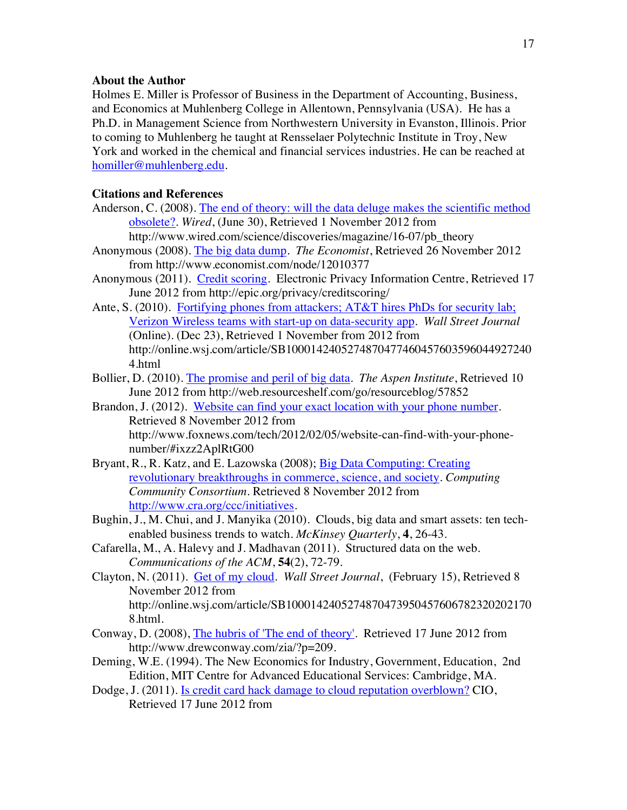### **About the Author**

Holmes E. Miller is Professor of Business in the Department of Accounting, Business, and Economics at Muhlenberg College in Allentown, Pennsylvania (USA). He has a Ph.D. in Management Science from Northwestern University in Evanston, Illinois. Prior to coming to Muhlenberg he taught at Rensselaer Polytechnic Institute in Troy, New York and worked in the chemical and financial services industries. He can be reached at homiller@muhlenberg.edu.

# **Citations and References**

- Anderson, C. (2008). The end of theory: will the data deluge makes the scientific method obsolete?. *Wired*, (June 30), Retrieved 1 November 2012 from http://www.wired.com/science/discoveries/magazine/16-07/pb\_theory
- Anonymous (2008). The big data dump. *The Economist*, Retrieved 26 November 2012 from http://www.economist.com/node/12010377
- Anonymous (2011). Credit scoring. Electronic Privacy Information Centre, Retrieved 17 June 2012 from http://epic.org/privacy/creditscoring/
- Ante, S. (2010). Fortifying phones from attackers; AT&T hires PhDs for security lab; Verizon Wireless teams with start-up on data-security app. *Wall Street Journal* (Online). (Dec 23), Retrieved 1 November from 2012 from http://online.wsj.com/article/SB1000142405274870477460457603596044927240 4.html
- Bollier, D. (2010). The promise and peril of big data. *The Aspen Institute*, Retrieved 10 June 2012 from http://web.resourceshelf.com/go/resourceblog/57852
- Brandon, J. (2012). Website can find your exact location with your phone number. Retrieved 8 November 2012 from http://www.foxnews.com/tech/2012/02/05/website-can-find-with-your-phonenumber/#ixzz2AplRtG00
- Bryant, R., R. Katz, and E. Lazowska (2008); Big Data Computing: Creating revolutionary breakthroughs in commerce, science, and society. *Computing Community Consortium*. Retrieved 8 November 2012 from http://www.cra.org/ccc/initiatives.
- Bughin, J., M. Chui, and J. Manyika (2010). Clouds, big data and smart assets: ten techenabled business trends to watch. *McKinsey Quarterly*, **4**, 26-43.
- Cafarella, M., A. Halevy and J. Madhavan (2011). Structured data on the web. *Communications of the ACM*, **54**(2), 72-79.
- Clayton, N. (2011). Get of my cloud. *Wall Street Journal*, (February 15), Retrieved 8 November 2012 from http://online.wsj.com/article/SB1000142405274870473950457606782320202170 8.html.
- Conway, D. (2008), The hubris of 'The end of theory'. Retrieved 17 June 2012 from http://www.drewconway.com/zia/?p=209.
- Deming, W.E. (1994). The New Economics for Industry, Government, Education, 2nd Edition, MIT Centre for Advanced Educational Services: Cambridge, MA.
- Dodge, J. (2011). Is credit card hack damage to cloud reputation overblown? CIO, Retrieved 17 June 2012 from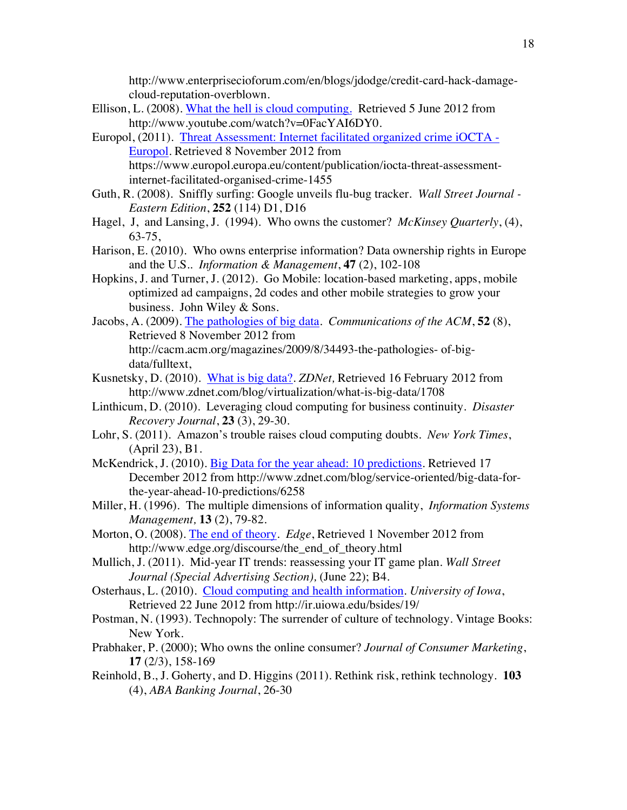http://www.enterprisecioforum.com/en/blogs/jdodge/credit-card-hack-damagecloud-reputation-overblown.

- Ellison, L. (2008). What the hell is cloud computing. Retrieved 5 June 2012 from http://www.youtube.com/watch?v=0FacYAI6DY0.
- Europol, (2011). Threat Assessment: Internet facilitated organized crime iOCTA Europol. Retrieved 8 November 2012 from https://www.europol.europa.eu/content/publication/iocta-threat-assessmentinternet-facilitated-organised-crime-1455
- Guth, R. (2008). Sniffly surfing: Google unveils flu-bug tracker. *Wall Street Journal - Eastern Edition*, **252** (114) D1, D16
- Hagel, J, and Lansing, J. (1994). Who owns the customer? *McKinsey Quarterly*, (4), 63-75,
- Harison, E. (2010). Who owns enterprise information? Data ownership rights in Europe and the U.S.. *Information & Management*, **47** (2), 102-108
- Hopkins, J. and Turner, J. (2012). Go Mobile: location-based marketing, apps, mobile optimized ad campaigns, 2d codes and other mobile strategies to grow your business. John Wiley & Sons.
- Jacobs, A. (2009). The pathologies of big data. *Communications of the ACM*, **52** (8), Retrieved 8 November 2012 from http://cacm.acm.org/magazines/2009/8/34493-the-pathologies- of-bigdata/fulltext,
- Kusnetsky, D. (2010). What is big data?. *ZDNet,* Retrieved 16 February 2012 from http://www.zdnet.com/blog/virtualization/what-is-big-data/1708
- Linthicum, D. (2010). Leveraging cloud computing for business continuity. *Disaster Recovery Journal*, **23** (3), 29-30.
- Lohr, S. (2011). Amazon's trouble raises cloud computing doubts. *New York Times*, (April 23), B1.
- McKendrick, J. (2010). Big Data for the year ahead: 10 predictions. Retrieved 17 December 2012 from http://www.zdnet.com/blog/service-oriented/big-data-forthe-year-ahead-10-predictions/6258
- Miller, H. (1996). The multiple dimensions of information quality, *Information Systems Management,* **13** (2), 79-82.
- Morton, O. (2008). The end of theory. *Edge*, Retrieved 1 November 2012 from http://www.edge.org/discourse/the\_end\_of\_theory.html
- Mullich, J. (2011). Mid-year IT trends: reassessing your IT game plan. *Wall Street Journal (Special Advertising Section),* (June 22); B4.
- Osterhaus, L. (2010). Cloud computing and health information. *University of Iowa*, Retrieved 22 June 2012 from http://ir.uiowa.edu/bsides/19/
- Postman, N. (1993). Technopoly: The surrender of culture of technology. Vintage Books: New York.
- Prabhaker, P. (2000); Who owns the online consumer? *Journal of Consumer Marketing*, **17** (2/3), 158-169
- Reinhold, B., J. Goherty, and D. Higgins (2011). Rethink risk, rethink technology. **103**  (4), *ABA Banking Journal*, 26-30